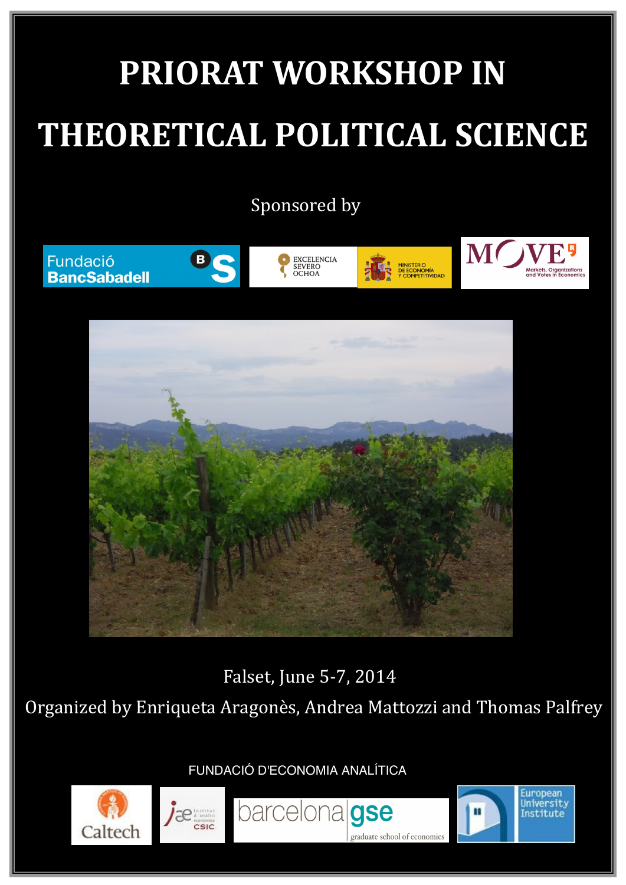# **PRIORAT WORKSHOP IN THEORETICAL POLITICAL SCIENCE**

Sponsored by











European

University

Institute



Falset, June 5-7, 2014

Organized by Enriqueta Aragonès, Andrea Mattozzi and Thomas Palfrey

barcelonalgse

school of economic

FUNDACIÓ D'ECONOMIA ANALÍTICA



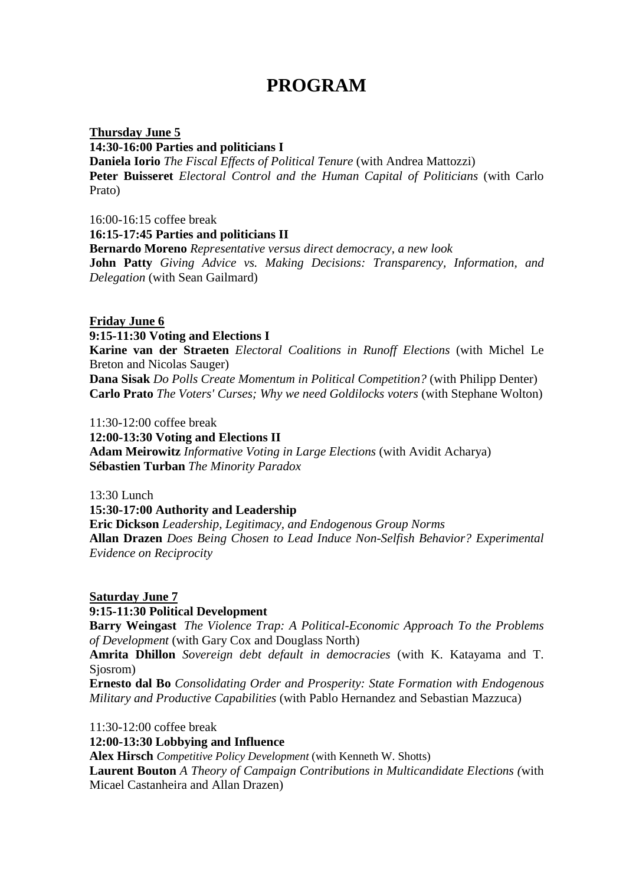## **PROGRAM**

**14:30-16:00 Parties and politicians I Thursday June 5 Daniela Iorio** *The Fiscal Effects of Political Tenure* (with Andrea Mattozzi) **Peter Buisseret** *Electoral Control and the Human Capital of Politicians* (with Carlo Prato)

16:00-16:15 coffee break **16:15-17:45 Parties and politicians II Bernardo Moreno** *Representative versus direct democracy, a new look*  **John Patty** *Giving Advice vs. Making Decisions: Transparency, Information, and Delegation* (with Sean Gailmard)

#### **9:15-11:30 Voting and Elections I Friday June 6**

**Karine van der Straeten** *Electoral Coalitions in Runoff Elections* (with Michel Le Breton and Nicolas Sauger)

**Dana Sisak** *Do Polls Create Momentum in Political Competition?* (with Philipp Denter) **Carlo Prato** *The Voters' Curses; Why we need Goldilocks voters* (with Stephane Wolton)

 $11:30-12:00$  coffee break

**12:00-13:30 Voting and Elections II** 

**Adam Meirowitz** *Informative Voting in Large Elections* (with Avidit Acharya) **Sébastien Turban** *The Minority Paradox* 

13:30 Lunch

**15:30-17:00 Authority and Leadership**

**Eric Dickson** *Leadership, Legitimacy, and Endogenous Group Norms* **Allan Drazen** *Does Being Chosen to Lead Induce Non-Selfish Behavior? Experimental Evidence on Reciprocity*

#### **Saturday June 7**

#### **9:15-11:30 Political Development**

**Barry Weingast** *The Violence Trap: A Political-Economic Approach To the Problems of Development* (with Gary Cox and Douglass North)

**Amrita Dhillon** *Sovereign debt default in democracies* (with K. Katayama and T. Sjosrom)

**Ernesto dal Bo** *Consolidating Order and Prosperity: State Formation with Endogenous Military and Productive Capabilities* (with Pablo Hernandez and Sebastian Mazzuca)

11:30-12:00 coffee break

**12:00-13:30 Lobbying and Influence**

**Alex Hirsch** *Competitive Policy Development* (with Kenneth W. Shotts)

**Laurent Bouton** *A Theory of Campaign Contributions in Multicandidate Elections (*with Micael Castanheira and Allan Drazen)